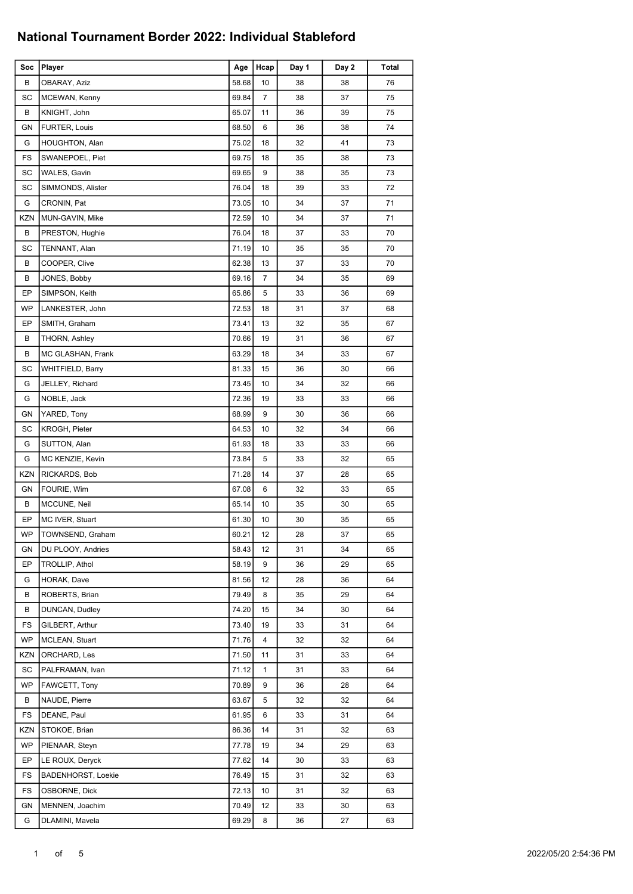| Soc        | Player                    | Age   | Hcap           | Day 1 | Day 2 | Total |
|------------|---------------------------|-------|----------------|-------|-------|-------|
| В          | OBARAY, Aziz              | 58.68 | 10             | 38    | 38    | 76    |
| SC         | MCEWAN, Kenny             | 69.84 | $\overline{7}$ | 38    | 37    | 75    |
| B          | KNIGHT, John              | 65.07 | 11             | 36    | 39    | 75    |
| GN         | FURTER, Louis             | 68.50 | 6              | 36    | 38    | 74    |
| G          | <b>HOUGHTON, Alan</b>     | 75.02 | 18             | 32    | 41    | 73    |
| FS         | SWANEPOEL, Piet           | 69.75 | 18             | 35    | 38    | 73    |
| SC         | WALES, Gavin              | 69.65 | 9              | 38    | 35    | 73    |
| SC         | SIMMONDS, Alister         | 76.04 | 18             | 39    | 33    | 72    |
| G          | CRONIN, Pat               | 73.05 | 10             | 34    | 37    | 71    |
| <b>KZN</b> | MUN-GAVIN, Mike           | 72.59 | 10             | 34    | 37    | 71    |
| В          | PRESTON, Hughie           | 76.04 | 18             | 37    | 33    | 70    |
| SC         | TENNANT, Alan             | 71.19 | 10             | 35    | 35    | 70    |
| В          | COOPER, Clive             | 62.38 | 13             | 37    | 33    | 70    |
| В          | JONES, Bobby              | 69.16 | $\overline{7}$ | 34    | 35    | 69    |
| EP         | SIMPSON, Keith            | 65.86 | 5              | 33    | 36    | 69    |
| <b>WP</b>  | LANKESTER, John           | 72.53 | 18             | 31    | 37    | 68    |
| EP         | SMITH, Graham             | 73.41 | 13             | 32    | 35    | 67    |
| В          | THORN, Ashley             | 70.66 | 19             | 31    | 36    | 67    |
| В          | MC GLASHAN, Frank         | 63.29 | 18             | 34    | 33    | 67    |
| SC         | <b>WHITFIELD, Barry</b>   | 81.33 | 15             | 36    | 30    | 66    |
| G          | JELLEY, Richard           | 73.45 | 10             | 34    | 32    | 66    |
| G          | NOBLE, Jack               | 72.36 | 19             | 33    | 33    | 66    |
| GN         | YARED, Tony               | 68.99 | 9              | 30    | 36    | 66    |
| SC         | <b>KROGH, Pieter</b>      | 64.53 | 10             | 32    | 34    | 66    |
| G          | SUTTON, Alan              | 61.93 | 18             | 33    | 33    | 66    |
| G          | MC KENZIE, Kevin          | 73.84 | 5              | 33    | 32    | 65    |
| <b>KZN</b> | RICKARDS, Bob             | 71.28 | 14             | 37    | 28    | 65    |
| GΝ         | FOURIE, Wim               | 67.08 | 6              | 32    | 33    | 65    |
| В          | MCCUNE, Neil              | 65.14 | 10             | 35    | 30    | 65    |
| EP         | MC IVER, Stuart           | 61.30 | 10             | 30    | 35    | 65    |
| WP         | TOWNSEND, Graham          | 60.21 | 12             | 28    | 37    | 65    |
| GN         | DU PLOOY, Andries         | 58.43 | 12             | 31    | 34    | 65    |
| EP         | TROLLIP, Athol            | 58.19 | 9              | 36    | 29    | 65    |
| G          | HORAK, Dave               | 81.56 | 12             | 28    | 36    | 64    |
| В          | ROBERTS, Brian            | 79.49 | 8              | 35    | 29    | 64    |
| В          | DUNCAN, Dudley            | 74.20 | 15             | 34    | 30    | 64    |
| FS         | GILBERT, Arthur           | 73.40 | 19             | 33    | 31    | 64    |
| WP         | <b>MCLEAN, Stuart</b>     | 71.76 | 4              | 32    | 32    | 64    |
| KZN        | ORCHARD, Les              | 71.50 | 11             | 31    | 33    | 64    |
| SC         | PALFRAMAN, Ivan           | 71.12 | 1              | 31    | 33    | 64    |
| WP         | FAWCETT, Tony             | 70.89 | 9              | 36    | 28    | 64    |
| В          | NAUDE, Pierre             | 63.67 | 5              | 32    | 32    | 64    |
| FS         | DEANE, Paul               | 61.95 | 6              | 33    | 31    | 64    |
| <b>KZN</b> | STOKOE, Brian             | 86.36 | 14             | 31    | 32    | 63    |
| WP         | PIENAAR, Steyn            | 77.78 | 19             | 34    | 29    | 63    |
| EP         | LE ROUX, Deryck           | 77.62 | 14             | 30    | 33    | 63    |
| FS         | <b>BADENHORST, Loekie</b> | 76.49 | 15             | 31    | 32    | 63    |
| FS         | OSBORNE, Dick             | 72.13 | 10             | 31    | 32    | 63    |
| GN         | MENNEN, Joachim           | 70.49 | 12             | 33    | 30    | 63    |
| G          | DLAMINI, Mavela           | 69.29 | 8              | 36    | 27    | 63    |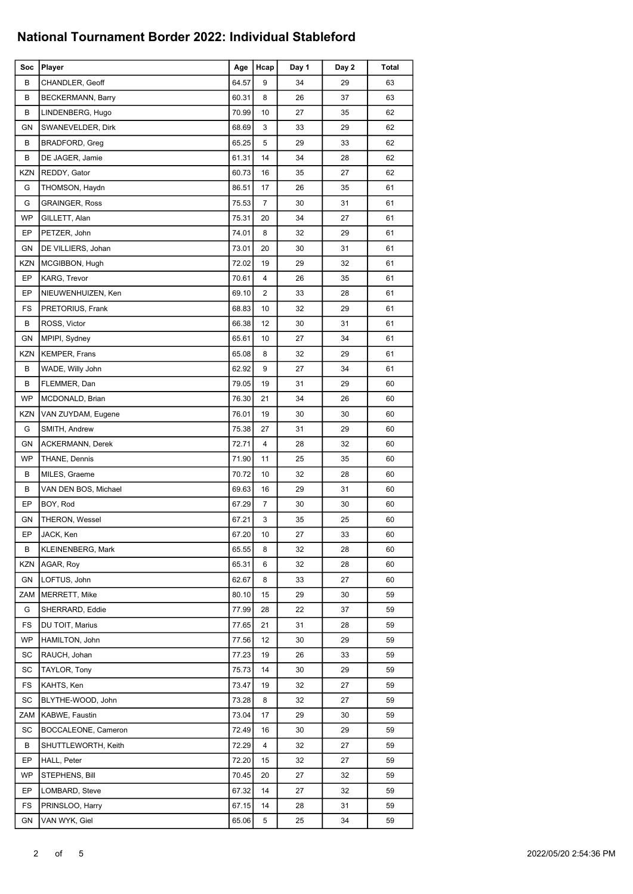| Soc        | Player                  | Age   | Hcap | Day 1 | Day 2 | Total |
|------------|-------------------------|-------|------|-------|-------|-------|
| В          | CHANDLER, Geoff         | 64.57 | 9    | 34    | 29    | 63    |
| В          | BECKERMANN, Barry       | 60.31 | 8    | 26    | 37    | 63    |
| В          | LINDENBERG, Hugo        | 70.99 | 10   | 27    | 35    | 62    |
| <b>GN</b>  | SWANEVELDER, Dirk       | 68.69 | 3    | 33    | 29    | 62    |
| В          | BRADFORD, Greg          | 65.25 | 5    | 29    | 33    | 62    |
| В          | DE JAGER, Jamie         | 61.31 | 14   | 34    | 28    | 62    |
| <b>KZN</b> | REDDY, Gator            | 60.73 | 16   | 35    | 27    | 62    |
| G          | THOMSON, Haydn          | 86.51 | 17   | 26    | 35    | 61    |
| G          | <b>GRAINGER, Ross</b>   | 75.53 | 7    | 30    | 31    | 61    |
| WP         | GILLETT, Alan           | 75.31 | 20   | 34    | 27    | 61    |
| EP         | PETZER, John            | 74.01 | 8    | 32    | 29    | 61    |
| GN         | DE VILLIERS, Johan      | 73.01 | 20   | 30    | 31    | 61    |
| <b>KZN</b> | MCGIBBON, Hugh          | 72.02 | 19   | 29    | 32    | 61    |
| EP         | KARG, Trevor            | 70.61 | 4    | 26    | 35    | 61    |
| EP         | NIEUWENHUIZEN, Ken      | 69.10 | 2    | 33    | 28    | 61    |
| FS         | PRETORIUS, Frank        | 68.83 | 10   | 32    | 29    | 61    |
| В          | ROSS, Victor            | 66.38 | 12   | 30    | 31    | 61    |
| GN         | MPIPI, Sydney           | 65.61 | 10   | 27    | 34    | 61    |
| <b>KZN</b> | KEMPER, Frans           | 65.08 | 8    | 32    | 29    | 61    |
| В          | WADE, Willy John        | 62.92 | 9    | 27    | 34    | 61    |
| В          | FLEMMER, Dan            | 79.05 | 19   | 31    | 29    | 60    |
| <b>WP</b>  | MCDONALD, Brian         | 76.30 | 21   | 34    | 26    | 60    |
| <b>KZN</b> | VAN ZUYDAM, Eugene      | 76.01 | 19   | 30    | 30    | 60    |
| G          | SMITH, Andrew           | 75.38 | 27   | 31    | 29    | 60    |
| GN         | <b>ACKERMANN, Derek</b> | 72.71 | 4    | 28    | 32    | 60    |
| <b>WP</b>  | THANE, Dennis           | 71.90 | 11   | 25    | 35    | 60    |
| В          | MILES, Graeme           | 70.72 | 10   | 32    | 28    | 60    |
| В          | VAN DEN BOS, Michael    | 69.63 | 16   | 29    | 31    | 60    |
| EP         | BOY, Rod                | 67.29 | 7    | 30    | 30    | 60    |
| <b>GN</b>  | THERON, Wessel          | 67.21 | 3    | 35    | 25    | 60    |
| EP         | JACK, Ken               | 67.20 | 10   | 27    | 33    | 60    |
| В          | KLEINENBERG, Mark       | 65.55 | 8    | 32    | 28    | 60    |
| <b>KZN</b> | AGAR, Roy               | 65.31 | 6    | 32    | 28    | 60    |
| GN         | LOFTUS, John            | 62.67 | 8    | 33    | 27    | 60    |
| <b>ZAM</b> | MERRETT, Mike           | 80.10 | 15   | 29    | 30    | 59    |
| G          | SHERRARD, Eddie         | 77.99 | 28   | 22    | 37    | 59    |
| FS         | DU TOIT, Marius         | 77.65 | 21   | 31    | 28    | 59    |
| <b>WP</b>  | HAMILTON, John          | 77.56 | 12   | 30    | 29    | 59    |
| SC         | RAUCH, Johan            | 77.23 | 19   | 26    | 33    | 59    |
| SC         | TAYLOR, Tony            | 75.73 | 14   | 30    | 29    | 59    |
| FS         | KAHTS, Ken              | 73.47 | 19   | 32    | 27    | 59    |
| SC         | BLYTHE-WOOD, John       | 73.28 | 8    | 32    | 27    | 59    |
| ZAM        | KABWE, Faustin          | 73.04 | 17   | 29    | 30    | 59    |
| SC         | BOCCALEONE, Cameron     | 72.49 | 16   | 30    | 29    | 59    |
| В          | SHUTTLEWORTH, Keith     | 72.29 | 4    | 32    | 27    | 59    |
| EP         | HALL, Peter             | 72.20 | 15   | 32    | 27    | 59    |
| WP         | STEPHENS, Bill          | 70.45 | 20   | 27    | 32    | 59    |
| EP         | LOMBARD, Steve          | 67.32 | 14   | 27    | 32    | 59    |
| FS         | PRINSLOO, Harry         | 67.15 | 14   | 28    | 31    | 59    |
| GN         | VAN WYK, Giel           | 65.06 | 5    | 25    | 34    | 59    |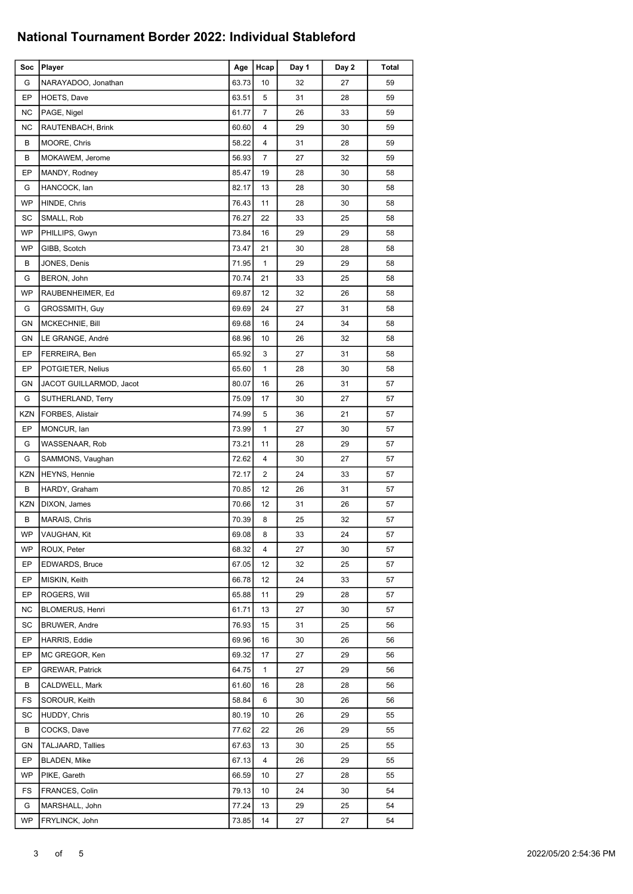| Soc        | Player                   | Age   | Hcap           | Day 1 | Day 2 | Total |
|------------|--------------------------|-------|----------------|-------|-------|-------|
| G          | NARAYADOO, Jonathan      | 63.73 | 10             | 32    | 27    | 59    |
| EP         | HOETS, Dave              | 63.51 | 5              | 31    | 28    | 59    |
| <b>NC</b>  | PAGE, Nigel              | 61.77 | $\overline{7}$ | 26    | 33    | 59    |
| <b>NC</b>  | RAUTENBACH, Brink        | 60.60 | $\overline{4}$ | 29    | 30    | 59    |
| В          | MOORE, Chris             | 58.22 | 4              | 31    | 28    | 59    |
| В          | MOKAWEM, Jerome          | 56.93 | 7              | 27    | 32    | 59    |
| EP         | MANDY, Rodney            | 85.47 | 19             | 28    | 30    | 58    |
| G          | HANCOCK, lan             | 82.17 | 13             | 28    | 30    | 58    |
| <b>WP</b>  | HINDE, Chris             | 76.43 | 11             | 28    | 30    | 58    |
| SC         | SMALL, Rob               | 76.27 | 22             | 33    | 25    | 58    |
| <b>WP</b>  | PHILLIPS, Gwyn           | 73.84 | 16             | 29    | 29    | 58    |
| WP         | GIBB, Scotch             | 73.47 | 21             | 30    | 28    | 58    |
| В          | JONES, Denis             | 71.95 | 1              | 29    | 29    | 58    |
| G          | BERON, John              | 70.74 | 21             | 33    | 25    | 58    |
| WP         | RAUBENHEIMER, Ed         | 69.87 | 12             | 32    | 26    | 58    |
| G          | GROSSMITH, Guy           | 69.69 | 24             | 27    | 31    | 58    |
| GN         | MCKECHNIE, Bill          | 69.68 | 16             | 24    | 34    | 58    |
| GN         | LE GRANGE, André         | 68.96 | 10             | 26    | 32    | 58    |
| EP         | FERREIRA, Ben            | 65.92 | 3              | 27    | 31    | 58    |
| EP         | POTGIETER, Nelius        | 65.60 | 1              | 28    | 30    | 58    |
| GN         | JACOT GUILLARMOD, Jacot  | 80.07 | 16             | 26    | 31    | 57    |
| G          | SUTHERLAND, Terry        | 75.09 | 17             | 30    | 27    | 57    |
| KZN        | FORBES, Alistair         | 74.99 | 5              | 36    | 21    | 57    |
| EP         | MONCUR, lan              | 73.99 | 1              | 27    | 30    | 57    |
| G          | WASSENAAR, Rob           | 73.21 | 11             | 28    | 29    | 57    |
| G          | SAMMONS, Vaughan         | 72.62 | 4              | 30    | 27    | 57    |
| KZN        | HEYNS, Hennie            | 72.17 | 2              | 24    | 33    | 57    |
| В          | HARDY, Graham            | 70.85 | 12             | 26    | 31    | 57    |
| <b>KZN</b> | DIXON, James             | 70.66 | 12             | 31    | 26    | 57    |
| В          | MARAIS, Chris            | 70.39 | 8              | 25    | 32    | 57    |
| WP         | VAUGHAN, Kit             | 69.08 | 8              | 33    | 24    | 57    |
| WP         | ROUX, Peter              | 68.32 | 4              | 27    | 30    | 57    |
| EP         | <b>EDWARDS, Bruce</b>    | 67.05 | 12             | 32    | 25    | 57    |
| EP         | MISKIN, Keith            | 66.78 | 12             | 24    | 33    | 57    |
| EP         | ROGERS, Will             | 65.88 | 11             | 29    | 28    | 57    |
| ΝC         | <b>BLOMERUS, Henri</b>   | 61.71 | 13             | 27    | 30    | 57    |
| SC         | <b>BRUWER, Andre</b>     | 76.93 | 15             | 31    | 25    | 56    |
| EP         | HARRIS, Eddie            | 69.96 | 16             | 30    | 26    | 56    |
| EP         | MC GREGOR, Ken           | 69.32 | 17             | 27    | 29    | 56    |
| EP         | <b>GREWAR, Patrick</b>   | 64.75 | 1              | 27    | 29    | 56    |
| В          | CALDWELL, Mark           | 61.60 | 16             | 28    | 28    | 56    |
| FS         | SOROUR, Keith            | 58.84 | 6              | 30    | 26    | 56    |
| SC         | HUDDY, Chris             | 80.19 | 10             | 26    | 29    | 55    |
| B          | COCKS, Dave              | 77.62 | 22             | 26    | 29    | 55    |
| GN         | <b>TALJAARD, Tallies</b> | 67.63 | 13             | 30    | 25    | 55    |
| EP         | <b>BLADEN, Mike</b>      | 67.13 | 4              | 26    | 29    | 55    |
| WP         | PIKE, Gareth             | 66.59 | 10             | 27    | 28    | 55    |
| FS         | FRANCES, Colin           | 79.13 | 10             | 24    | 30    | 54    |
| G          | MARSHALL, John           | 77.24 | 13             | 29    | 25    | 54    |
| <b>WP</b>  | FRYLINCK, John           | 73.85 | 14             | 27    | 27    | 54    |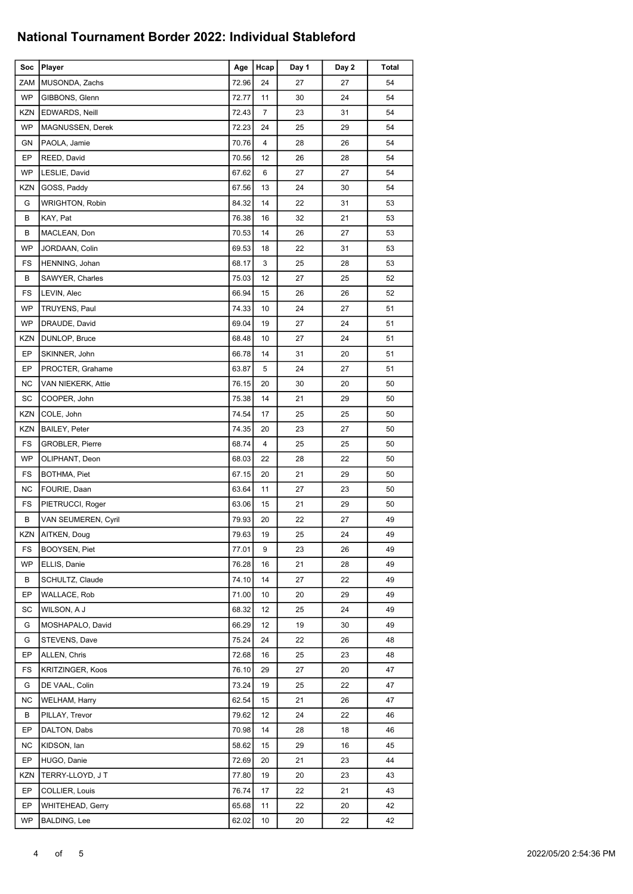| Soc        | Player                  | Age   | Hcap           | Day 1 | Day 2 | Total |
|------------|-------------------------|-------|----------------|-------|-------|-------|
| <b>ZAM</b> | MUSONDA, Zachs          | 72.96 | 24             | 27    | 27    | 54    |
| <b>WP</b>  | GIBBONS, Glenn          | 72.77 | 11             | 30    | 24    | 54    |
| KZN        | EDWARDS, Neill          | 72.43 | $\overline{7}$ | 23    | 31    | 54    |
| <b>WP</b>  | MAGNUSSEN, Derek        | 72.23 | 24             | 25    | 29    | 54    |
| GN         | PAOLA, Jamie            | 70.76 | 4              | 28    | 26    | 54    |
| EP         | REED, David             | 70.56 | 12             | 26    | 28    | 54    |
| WP         | LESLIE, David           | 67.62 | 6              | 27    | 27    | 54    |
| <b>KZN</b> | GOSS, Paddy             | 67.56 | 13             | 24    | 30    | 54    |
| G          | <b>WRIGHTON, Robin</b>  | 84.32 | 14             | 22    | 31    | 53    |
| В          | KAY, Pat                | 76.38 | 16             | 32    | 21    | 53    |
| В          | MACLEAN, Don            | 70.53 | 14             | 26    | 27    | 53    |
| <b>WP</b>  | JORDAAN, Colin          | 69.53 | 18             | 22    | 31    | 53    |
| FS         | HENNING, Johan          | 68.17 | 3              | 25    | 28    | 53    |
| В          | <b>SAWYER, Charles</b>  | 75.03 | 12             | 27    | 25    | 52    |
| FS         | LEVIN, Alec             | 66.94 | 15             | 26    | 26    | 52    |
| WP         | TRUYENS, Paul           | 74.33 | 10             | 24    | 27    | 51    |
| <b>WP</b>  | DRAUDE, David           | 69.04 | 19             | 27    | 24    | 51    |
| <b>KZN</b> | DUNLOP, Bruce           | 68.48 | 10             | 27    | 24    | 51    |
| EP         | SKINNER, John           | 66.78 | 14             | 31    | 20    | 51    |
| EP         | PROCTER, Grahame        | 63.87 | 5              | 24    | 27    | 51    |
| <b>NC</b>  | VAN NIEKERK, Attie      | 76.15 | 20             | 30    | 20    | 50    |
| SC         | COOPER, John            | 75.38 | 14             | 21    | 29    | 50    |
| <b>KZN</b> | COLE, John              | 74.54 | 17             | 25    | 25    | 50    |
| <b>KZN</b> | <b>BAILEY, Peter</b>    | 74.35 | 20             | 23    | 27    | 50    |
| FS         | <b>GROBLER, Pierre</b>  | 68.74 | 4              | 25    | 25    | 50    |
| WP         | OLIPHANT, Deon          | 68.03 | 22             | 28    | 22    | 50    |
| FS         | BOTHMA, Piet            | 67.15 | 20             | 21    | 29    | 50    |
| <b>NC</b>  | FOURIE, Daan            | 63.64 | 11             | 27    | 23    | 50    |
| FS         | PIETRUCCI, Roger        | 63.06 | 15             | 21    | 29    | 50    |
| В          | VAN SEUMEREN, Cyril     | 79.93 | 20             | 22    | 27    | 49    |
| KZN        | AITKEN, Doug            | 79.63 | 19             | 25    | 24    | 49    |
| FS         | BOOYSEN, Piet           | 77.01 | 9              | 23    | 26    | 49    |
| WP         | ELLIS, Danie            | 76.28 | 16             | 21    | 28    | 49    |
| В          | SCHULTZ, Claude         | 74.10 | 14             | 27    | 22    | 49    |
| EP         | WALLACE, Rob            | 71.00 | 10             | 20    | 29    | 49    |
| SC         | WILSON, A J             | 68.32 | 12             | 25    | 24    | 49    |
| G          | MOSHAPALO, David        | 66.29 | 12             | 19    | 30    | 49    |
| G          | STEVENS, Dave           | 75.24 | 24             | 22    | 26    | 48    |
| EP         | ALLEN, Chris            | 72.68 | 16             | 25    | 23    | 48    |
| FS         | <b>KRITZINGER, Koos</b> | 76.10 | 29             | 27    | 20    | 47    |
| G          | DE VAAL, Colin          | 73.24 | 19             | 25    | 22    | 47    |
| NC         | WELHAM, Harry           | 62.54 | 15             | 21    | 26    | 47    |
| В          | PILLAY, Trevor          | 79.62 | 12             | 24    | 22    | 46    |
| EP         | DALTON, Dabs            | 70.98 | 14             | 28    | 18    | 46    |
| <b>NC</b>  | KIDSON, Ian             | 58.62 | 15             | 29    | 16    | 45    |
| EP         | HUGO, Danie             | 72.69 | 20             | 21    | 23    | 44    |
| <b>KZN</b> | TERRY-LLOYD, J T        | 77.80 | 19             | 20    | 23    | 43    |
| EP         | COLLIER, Louis          | 76.74 | 17             | 22    | 21    | 43    |
| EP         | WHITEHEAD, Gerry        | 65.68 | 11             | 22    | 20    | 42    |
| WP         | <b>BALDING, Lee</b>     | 62.02 | 10             | 20    | 22    | 42    |